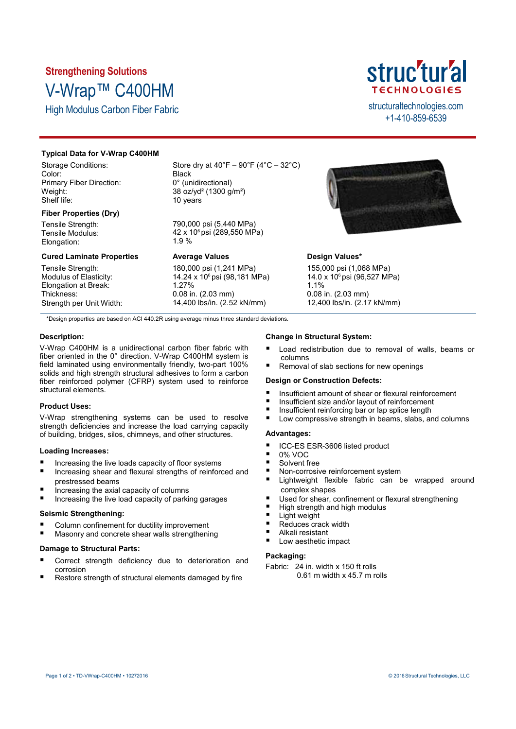# **Strengthening Solutions** V-Wrap™ C400HM

High Modulus Carbon Fiber Fabric structural technologies.com



+1-410-859-6539

# **Typical Data for V-Wrap C400HM**

Storage Conditions: Color: Primary Fiber Direction: Weight: Shelf life:

# **Fiber Properties (Dry)**

Tensile Strength: Tensile Modulus: Elongation:

# **Cured Laminate Properties**

Tensile Strength: Modulus of Elasticity: Elongation at Break: Thickness: Strength per Unit Width: Store dry at  $40^{\circ}F - 90^{\circ}F (4^{\circ}C - 32^{\circ}C)$ **Black** 0° (unidirectional) 38 oz/yd² (1300 g/m²) 10 years

790,000 psi (5,440 MPa) 42 x 10<sup>6</sup> psi (289,550 MPa) 1.9 %

## **Average Values**

180,000 psi (1,241 MPa) 14.24 x 10<sup>6</sup> psi (98,181 MPa) 1.27% 0.08 in. (2.03 mm) 14,400 lbs/in. (2.52 kN/mm)



# **Design Values\***

155,000 psi (1,068 MPa) 14.0 x 10<sup>6</sup> psi (96,527 MPa) 1.1% 0.08 in. (2.03 mm) 12,400 lbs/in. (2.17 kN/mm)

\*Design properties are based on ACI 440.2R using average minus three standard deviations.

## **Description:**

V-Wrap C400HM is a unidirectional carbon fiber fabric with fiber oriented in the 0° direction. V-Wrap C400HM system is field laminated using environmentally friendly, two-part 100% solids and high strength structural adhesives to form a carbon fiber reinforced polymer (CFRP) system used to reinforce structural elements.

## **Product Uses:**

V-Wrap strengthening systems can be used to resolve strength deficiencies and increase the load carrying capacity of building, bridges, silos, chimneys, and other structures.

#### **Loading Increases:**

- Increasing the live loads capacity of floor systems
- Increasing shear and flexural strengths of reinforced and prestressed beams
- Increasing the axial capacity of columns
- Increasing the live load capacity of parking garages

### **Seismic Strengthening:**

- Column confinement for ductility improvement
- Masonry and concrete shear walls strengthening

#### **Damage to Structural Parts:**

- Correct strength deficiency due to deterioration and corrosion
- Restore strength of structural elements damaged by fire

#### **Change in Structural System:**

- Load redistribution due to removal of walls, beams or columns
- Removal of slab sections for new openings

#### **Design or Construction Defects:**

- Insufficient amount of shear or flexural reinforcement
- Insufficient size and/or layout of reinforcement
- Insufficient reinforcing bar or lap splice length
- Low compressive strength in beams, slabs, and columns

## **Advantages:**

- ICC-ES ESR-3606 listed product
- 0% VOC
- Solvent free
- Non-corrosive reinforcement system
- Lightweight flexible fabric can be wrapped around complex shapes
- Used for shear, confinement or flexural strengthening
- High strength and high modulus
- Light weight
- Reduces crack width
- Alkali resistant
- Low aesthetic impact

## **Packaging:**

Fabric: 24 in. width x 150 ft rolls 0.61 m width x 45.7 m rolls